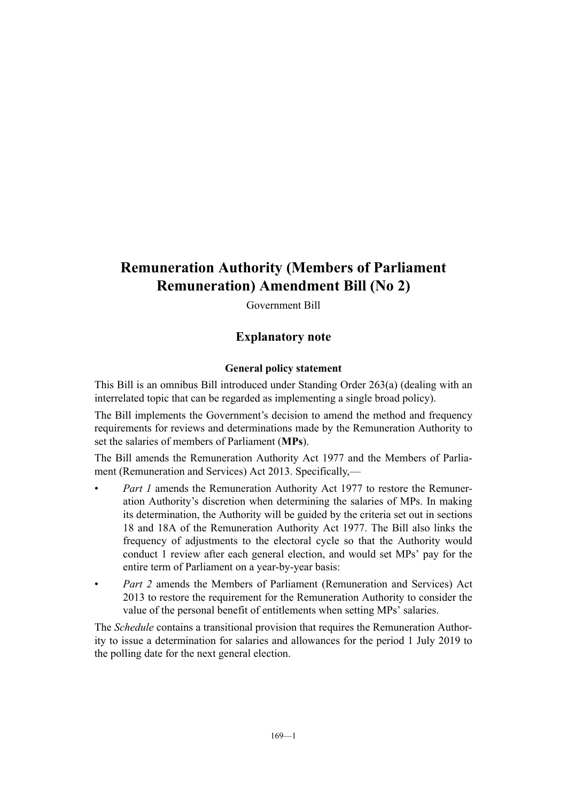# **Remuneration Authority (Members of Parliament Remuneration) Amendment Bill (No 2)**

Government Bill

## **Explanatory note**

#### **General policy statement**

This Bill is an omnibus Bill introduced under Standing Order 263(a) (dealing with an interrelated topic that can be regarded as implementing a single broad policy).

The Bill implements the Government's decision to amend the method and frequency requirements for reviews and determinations made by the Remuneration Authority to set the salaries of members of Parliament (**MPs**).

The Bill amends the Remuneration Authority Act 1977 and the Members of Parliament (Remuneration and Services) Act 2013. Specifically,—

- *Part 1* amends the Remuneration Authority Act 1977 to restore the Remuneration Authority's discretion when determining the salaries of MPs. In making its determination, the Authority will be guided by the criteria set out in sections 18 and 18A of the Remuneration Authority Act 1977. The Bill also links the frequency of adjustments to the electoral cycle so that the Authority would conduct 1 review after each general election, and would set MPs' pay for the entire term of Parliament on a year-by-year basis:
- *Part 2* amends the Members of Parliament (Remuneration and Services) Act 2013 to restore the requirement for the Remuneration Authority to consider the value of the personal benefit of entitlements when setting MPs' salaries.

The *Schedule* contains a transitional provision that requires the Remuneration Authority to issue a determination for salaries and allowances for the period 1 July 2019 to the polling date for the next general election.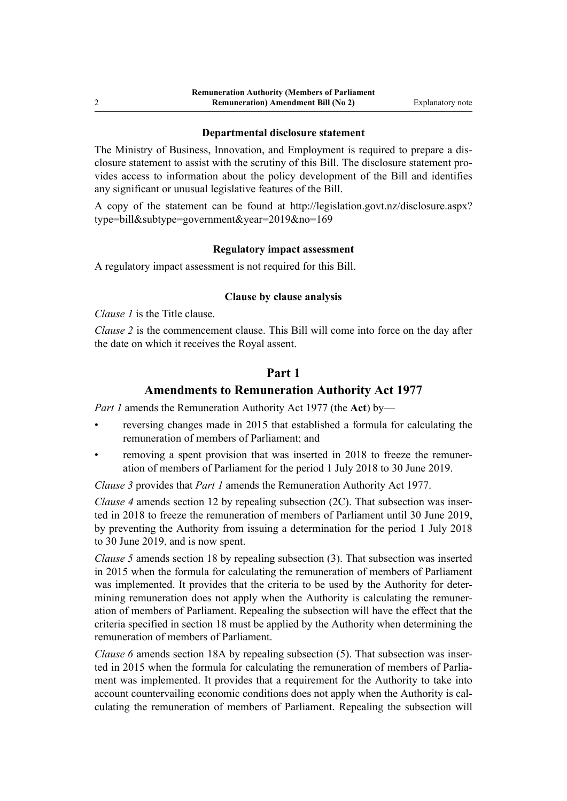#### **Departmental disclosure statement**

The Ministry of Business, Innovation, and Employment is required to prepare a disclosure statement to assist with the scrutiny of this Bill. The disclosure statement provides access to information about the policy development of the Bill and identifies any significant or unusual legislative features of the Bill.

A copy of the statement can be found at [http://legislation.govt.nz/disclosure.aspx?](http://legislation.govt.nz/disclosure.aspx?type=bill&subtype=government&year=2019&no=169) [type=bill&subtype=government&year=2019&no=169](http://legislation.govt.nz/disclosure.aspx?type=bill&subtype=government&year=2019&no=169)

#### **Regulatory impact assessment**

A regulatory impact assessment is not required for this Bill.

#### **Clause by clause analysis**

*Clause 1* is the Title clause.

*Clause 2* is the commencement clause. This Bill will come into force on the day after the date on which it receives the Royal assent.

### **Part 1**

### **Amendments to Remuneration Authority Act 1977**

*Part 1* amends the Remuneration Authority Act 1977 (the **Act**) by—

- reversing changes made in 2015 that established a formula for calculating the remuneration of members of Parliament; and
- removing a spent provision that was inserted in 2018 to freeze the remuneration of members of Parliament for the period 1 July 2018 to 30 June 2019.

*Clause 3* provides that *Part 1* amends the Remuneration Authority Act 1977.

*Clause 4* amends section 12 by repealing subsection (2C). That subsection was inserted in 2018 to freeze the remuneration of members of Parliament until 30 June 2019, by preventing the Authority from issuing a determination for the period 1 July 2018 to 30 June 2019, and is now spent.

*Clause 5* amends section 18 by repealing subsection (3). That subsection was inserted in 2015 when the formula for calculating the remuneration of members of Parliament was implemented. It provides that the criteria to be used by the Authority for determining remuneration does not apply when the Authority is calculating the remuneration of members of Parliament. Repealing the subsection will have the effect that the criteria specified in section 18 must be applied by the Authority when determining the remuneration of members of Parliament.

*Clause 6* amends section 18A by repealing subsection (5). That subsection was inserted in 2015 when the formula for calculating the remuneration of members of Parliament was implemented. It provides that a requirement for the Authority to take into account countervailing economic conditions does not apply when the Authority is calculating the remuneration of members of Parliament. Repealing the subsection will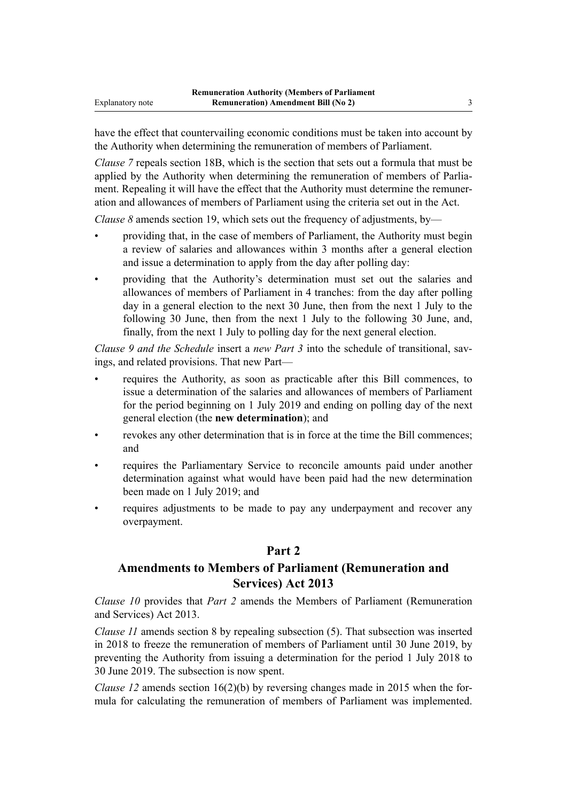have the effect that countervailing economic conditions must be taken into account by the Authority when determining the remuneration of members of Parliament.

*Clause* 7 repeals section 18B, which is the section that sets out a formula that must be applied by the Authority when determining the remuneration of members of Parliament. Repealing it will have the effect that the Authority must determine the remuneration and allowances of members of Parliament using the criteria set out in the Act.

*Clause 8* amends section 19, which sets out the frequency of adjustments, by—

- providing that, in the case of members of Parliament, the Authority must begin a review of salaries and allowances within 3 months after a general election and issue a determination to apply from the day after polling day:
- providing that the Authority's determination must set out the salaries and allowances of members of Parliament in 4 tranches: from the day after polling day in a general election to the next 30 June, then from the next 1 July to the following 30 June, then from the next 1 July to the following 30 June, and, finally, from the next 1 July to polling day for the next general election.

*Clause 9 and the Schedule* insert a *new Part 3* into the schedule of transitional, savings, and related provisions. That new Part—

- requires the Authority, as soon as practicable after this Bill commences, to issue a determination of the salaries and allowances of members of Parliament for the period beginning on 1 July 2019 and ending on polling day of the next general election (the **new determination**); and
- revokes any other determination that is in force at the time the Bill commences; and
- requires the Parliamentary Service to reconcile amounts paid under another determination against what would have been paid had the new determination been made on 1 July 2019; and
- requires adjustments to be made to pay any underpayment and recover any overpayment.

### **Part 2**

# **Amendments to Members of Parliament (Remuneration and Services) Act 2013**

*Clause 10* provides that *Part 2* amends the Members of Parliament (Remuneration and Services) Act 2013.

*Clause 11* amends section 8 by repealing subsection (5). That subsection was inserted in 2018 to freeze the remuneration of members of Parliament until 30 June 2019, by preventing the Authority from issuing a determination for the period 1 July 2018 to 30 June 2019. The subsection is now spent.

*Clause 12* amends section 16(2)(b) by reversing changes made in 2015 when the formula for calculating the remuneration of members of Parliament was implemented.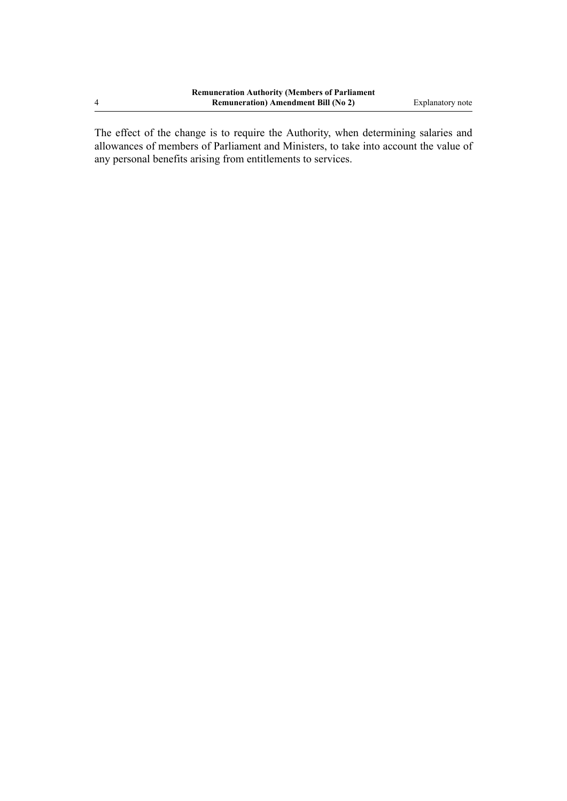4

The effect of the change is to require the Authority, when determining salaries and allowances of members of Parliament and Ministers, to take into account the value of any personal benefits arising from entitlements to services.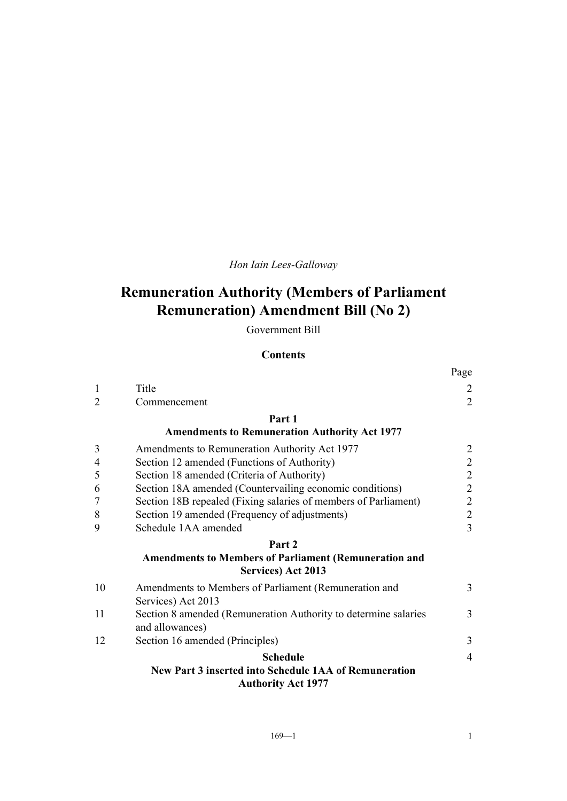# *Hon Iain Lees-Galloway*

# **Remuneration Authority (Members of Parliament Remuneration) Amendment Bill (No 2)**

Government Bill

#### **Contents**

|                |                                                                                    | Page            |
|----------------|------------------------------------------------------------------------------------|-----------------|
| 1              | Title                                                                              | $\overline{c}$  |
| $\overline{2}$ | Commencement                                                                       | $\overline{2}$  |
|                | Part 1                                                                             |                 |
|                | <b>Amendments to Remuneration Authority Act 1977</b>                               |                 |
| 3              | Amendments to Remuneration Authority Act 1977                                      |                 |
| $\overline{4}$ | Section 12 amended (Functions of Authority)                                        | $2222$<br>$222$ |
| 5              | Section 18 amended (Criteria of Authority)                                         |                 |
| 6              | Section 18A amended (Countervailing economic conditions)                           |                 |
| $\overline{7}$ | Section 18B repealed (Fixing salaries of members of Parliament)                    |                 |
| 8              | Section 19 amended (Frequency of adjustments)                                      |                 |
| 9              | Schedule 1AA amended                                                               | $\overline{3}$  |
|                | Part 2                                                                             |                 |
|                | <b>Amendments to Members of Parliament (Remuneration and</b>                       |                 |
|                | Services) Act 2013                                                                 |                 |
| 10             | Amendments to Members of Parliament (Remuneration and                              | 3               |
|                | Services) Act 2013                                                                 |                 |
| 11             | Section 8 amended (Remuneration Authority to determine salaries<br>and allowances) | 3               |
| 12             | Section 16 amended (Principles)                                                    | 3               |
|                | <b>Schedule</b>                                                                    | 4               |
|                | New Part 3 inserted into Schedule 1AA of Remuneration                              |                 |
|                | <b>Authority Act 1977</b>                                                          |                 |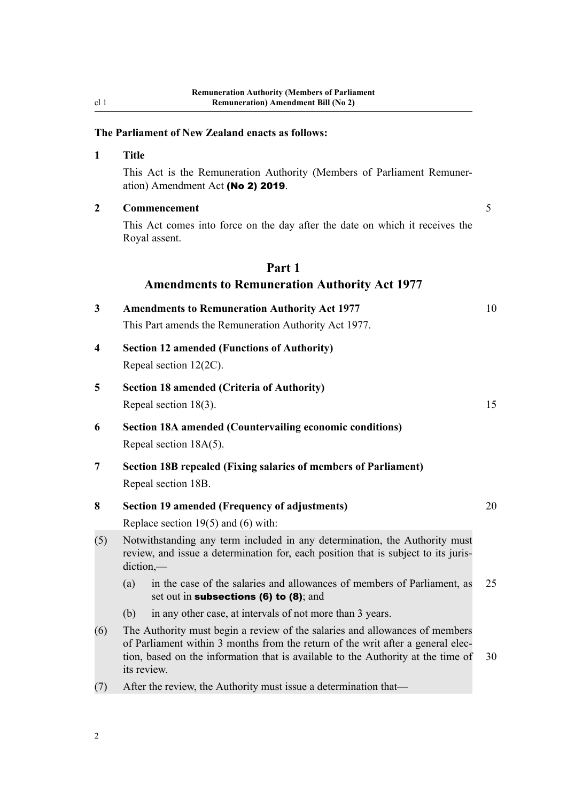# **The Parliament of New Zealand enacts as follows:**

|                         | This Act is the Remuneration Authority (Members of Parliament Remuner-<br>ation) Amendment Act (No 2) 2019.                                                                                                                                                       |    |
|-------------------------|-------------------------------------------------------------------------------------------------------------------------------------------------------------------------------------------------------------------------------------------------------------------|----|
| $\overline{2}$          | Commencement                                                                                                                                                                                                                                                      |    |
|                         | This Act comes into force on the day after the date on which it receives the<br>Royal assent.                                                                                                                                                                     |    |
|                         | Part 1                                                                                                                                                                                                                                                            |    |
|                         | <b>Amendments to Remuneration Authority Act 1977</b>                                                                                                                                                                                                              |    |
| 3                       | <b>Amendments to Remuneration Authority Act 1977</b><br>This Part amends the Remuneration Authority Act 1977.                                                                                                                                                     | 10 |
| $\overline{\mathbf{4}}$ | <b>Section 12 amended (Functions of Authority)</b><br>Repeal section 12(2C).                                                                                                                                                                                      |    |
| 5                       | <b>Section 18 amended (Criteria of Authority)</b><br>Repeal section $18(3)$ .                                                                                                                                                                                     | 15 |
| 6                       | <b>Section 18A amended (Countervailing economic conditions)</b><br>Repeal section 18A(5).                                                                                                                                                                         |    |
| 7                       | Section 18B repealed (Fixing salaries of members of Parliament)<br>Repeal section 18B.                                                                                                                                                                            |    |
| 8                       | <b>Section 19 amended (Frequency of adjustments)</b>                                                                                                                                                                                                              | 20 |
|                         | Replace section $19(5)$ and (6) with:                                                                                                                                                                                                                             |    |
| (5)                     | Notwithstanding any term included in any determination, the Authority must<br>review, and issue a determination for, each position that is subject to its juris-<br>$diction$ ,—                                                                                  |    |
|                         | in the case of the salaries and allowances of members of Parliament, as<br>(a)<br>set out in subsections $(6)$ to $(8)$ ; and                                                                                                                                     | 25 |
|                         | in any other case, at intervals of not more than 3 years.<br>(b)                                                                                                                                                                                                  |    |
| (6)                     | The Authority must begin a review of the salaries and allowances of members<br>of Parliament within 3 months from the return of the writ after a general elec-<br>tion, based on the information that is available to the Authority at the time of<br>its review. | 30 |
| (7)                     | After the review, the Authority must issue a determination that-                                                                                                                                                                                                  |    |

<span id="page-5-0"></span>cl 1

**1 Title**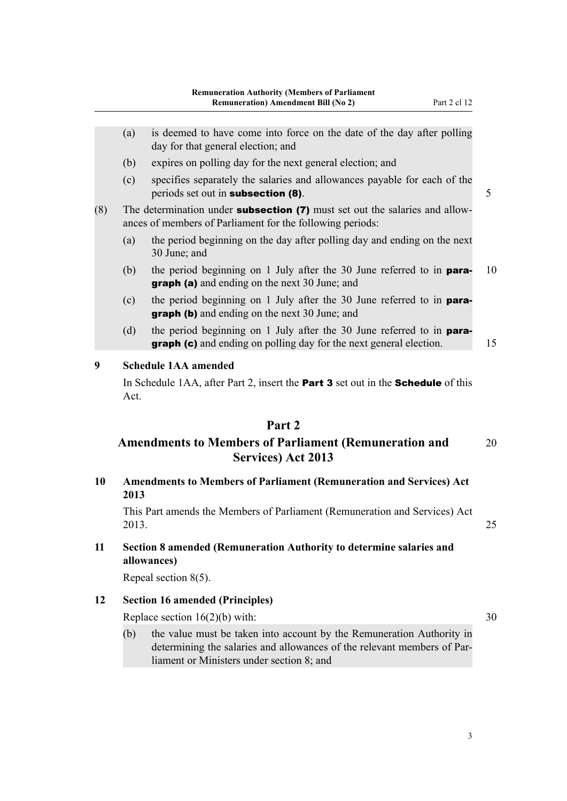- <span id="page-6-0"></span>(a) is deemed to have come into force on the date of the day after polling day for that general election; and
- (b) expires on polling day for the next general election; and
- (c) specifies separately the salaries and allowances payable for each of the periods set out in **subsection (8)**. 5

(8) The determination under **subsection (7)** must set out the salaries and allowances of members of Parliament for the following periods:

- (a) the period beginning on the day after polling day and ending on the next 30 June; and
- (b) the period beginning on 1 July after the 30 June referred to in **para-** 10 graph (a) and ending on the next 30 June; and
- (c) the period beginning on 1 July after the 30 June referred to in paragraph (b) and ending on the next 30 June; and
- (d) the period beginning on 1 July after the 30 June referred to in **paragraph (c)** and ending on polling day for the next general election. 15

#### **9 Schedule 1AA amended**

In Schedule 1AA, after Part 2, insert the **Part 3** set out in the **Schedule** of this Act.

### **Part 2**

# **Amendments to Members of Parliament (Remuneration and** 20 **Services) Act 2013**

**10 Amendments to Members of Parliament (Remuneration and Services) Act 2013**

This Part amends the Members of Parliament (Remuneration and Services) Act 2013. 25

**11 Section 8 amended (Remuneration Authority to determine salaries and allowances)**

Repeal section 8(5).

### **12 Section 16 amended (Principles)**

Replace section  $16(2)(b)$  with:  $30$ 

(b) the value must be taken into account by the Remuneration Authority in determining the salaries and allowances of the relevant members of Parliament or Ministers under section 8; and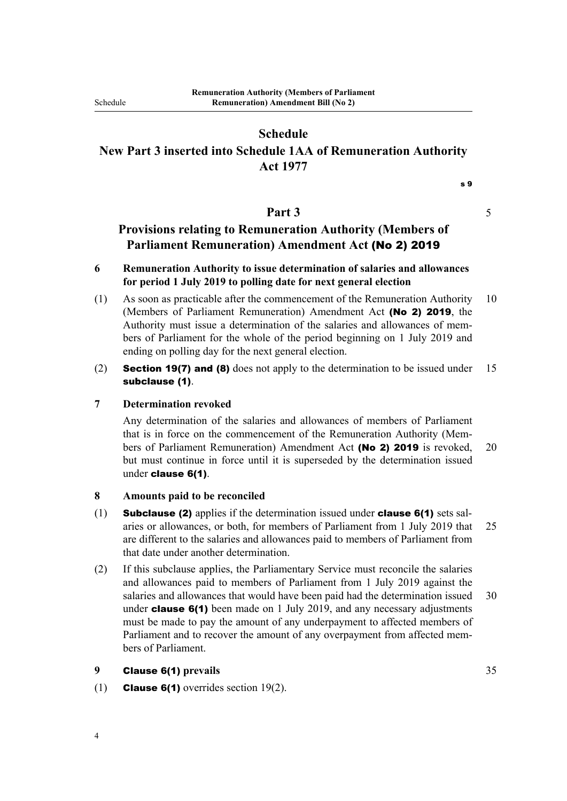<span id="page-7-0"></span>Schedule

# **Schedule**

# **New Part 3 inserted into Schedule 1AA of Remuneration Authority Act 1977**

s 9

### **Part 3** 5

# **Provisions relating to Remuneration Authority (Members of Parliament Remuneration) Amendment Act** (No 2) 2019

### **6 Remuneration Authority to issue determination of salaries and allowances for period 1 July 2019 to polling date for next general election**

- (1) As soon as practicable after the commencement of the Remuneration Authority 10 (Members of Parliament Remuneration) Amendment Act (No 2) 2019, the Authority must issue a determination of the salaries and allowances of members of Parliament for the whole of the period beginning on 1 July 2019 and ending on polling day for the next general election.
- (2) **Section 19(7) and (8)** does not apply to the determination to be issued under 15 subclause (1).

### **7 Determination revoked**

Any determination of the salaries and allowances of members of Parliament that is in force on the commencement of the Remuneration Authority (Members of Parliament Remuneration) Amendment Act (No 2) 2019 is revoked, 20 but must continue in force until it is superseded by the determination issued under clause 6(1).

#### **8 Amounts paid to be reconciled**

- (1) Subclause (2) applies if the determination issued under clause 6(1) sets salaries or allowances, or both, for members of Parliament from 1 July 2019 that 25 are different to the salaries and allowances paid to members of Parliament from that date under another determination.
- (2) If this subclause applies, the Parliamentary Service must reconcile the salaries and allowances paid to members of Parliament from 1 July 2019 against the salaries and allowances that would have been paid had the determination issued 30 under **clause 6(1)** been made on 1 July 2019, and any necessary adjustments must be made to pay the amount of any underpayment to affected members of Parliament and to recover the amount of any overpayment from affected members of Parliament.

#### **9** Clause 6(1) **prevails** 35

(1) **Clause 6(1)** overrides section  $19(2)$ .